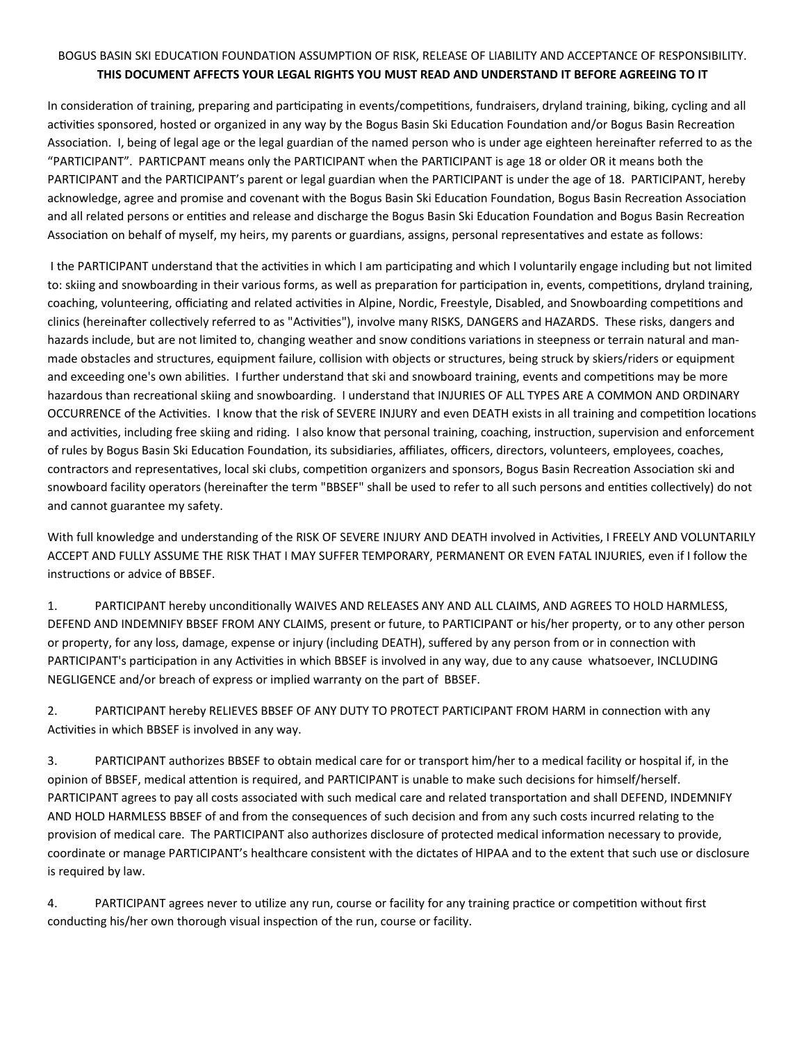## BOGUS BASIN SKI EDUCATION FOUNDATION ASSUMPTION OF RISK, RELEASE OF LIABILITY AND ACCEPTANCE OF RESPONSIBILITY. **THIS DOCUMENT AFFECTS YOUR LEGAL RIGHTS YOU MUST READ AND UNDERSTAND IT BEFORE AGREEING TO IT**

In consideration of training, preparing and participating in events/competitions, fundraisers, dryland training, biking, cycling and all activities sponsored, hosted or organized in any way by the Bogus Basin Ski Education Foundation and/or Bogus Basin Recreation Association. I, being of legal age or the legal guardian of the named person who is under age eighteen hereinafter referred to as the "PARTICIPANT". PARTICPANT means only the PARTICIPANT when the PARTICIPANT is age 18 or older OR it means both the PARTICIPANT and the PARTICIPANT's parent or legal guardian when the PARTICIPANT is under the age of 18. PARTICIPANT, hereby acknowledge, agree and promise and covenant with the Bogus Basin Ski Education Foundation, Bogus Basin Recreation Association and all related persons or entities and release and discharge the Bogus Basin Ski Education Foundation and Bogus Basin Recreation Association on behalf of myself, my heirs, my parents or guardians, assigns, personal representatives and estate as follows:

 I the PARTICIPANT understand that the activities in which I am participating and which I voluntarily engage including but not limited to: skiing and snowboarding in their various forms, as well as preparation for participation in, events, competitions, dryland training, coaching, volunteering, officiating and related activities in Alpine, Nordic, Freestyle, Disabled, and Snowboarding competitions and clinics (hereinafter collectively referred to as "Activities"), involve many RISKS, DANGERS and HAZARDS. These risks, dangers and hazards include, but are not limited to, changing weather and snow conditions variations in steepness or terrain natural and manmade obstacles and structures, equipment failure, collision with objects or structures, being struck by skiers/riders or equipment and exceeding one's own abilities. I further understand that ski and snowboard training, events and competitions may be more hazardous than recreational skiing and snowboarding. I understand that INJURIES OF ALL TYPES ARE A COMMON AND ORDINARY OCCURRENCE of the Activities. I know that the risk of SEVERE INJURY and even DEATH exists in all training and competition locations and activities, including free skiing and riding. I also know that personal training, coaching, instruction, supervision and enforcement of rules by Bogus Basin Ski Education Foundation, its subsidiaries, affiliates, officers, directors, volunteers, employees, coaches, contractors and representatives, local ski clubs, competition organizers and sponsors, Bogus Basin Recreation Association ski and snowboard facility operators (hereinafter the term "BBSEF" shall be used to refer to all such persons and entities collectively) do not and cannot guarantee my safety.

With full knowledge and understanding of the RISK OF SEVERE INJURY AND DEATH involved in Activities, I FREELY AND VOLUNTARILY ACCEPT AND FULLY ASSUME THE RISK THAT I MAY SUFFER TEMPORARY, PERMANENT OR EVEN FATAL INJURIES, even if I follow the instructions or advice of BBSEF.

1. PARTICIPANT hereby unconditionally WAIVES AND RELEASES ANY AND ALL CLAIMS, AND AGREES TO HOLD HARMLESS, DEFEND AND INDEMNIFY BBSEF FROM ANY CLAIMS, present or future, to PARTICIPANT or his/her property, or to any other person or property, for any loss, damage, expense or injury (including DEATH), suffered by any person from or in connection with PARTICIPANT's participation in any Activities in which BBSEF is involved in any way, due to any cause whatsoever, INCLUDING NEGLIGENCE and/or breach of express or implied warranty on the part of BBSEF.

2. PARTICIPANT hereby RELIEVES BBSEF OF ANY DUTY TO PROTECT PARTICIPANT FROM HARM in connection with any Activities in which BBSEF is involved in any way.

3. PARTICIPANT authorizes BBSEF to obtain medical care for or transport him/her to a medical facility or hospital if, in the opinion of BBSEF, medical attention is required, and PARTICIPANT is unable to make such decisions for himself/herself. PARTICIPANT agrees to pay all costs associated with such medical care and related transportation and shall DEFEND, INDEMNIFY AND HOLD HARMLESS BBSEF of and from the consequences of such decision and from any such costs incurred relating to the provision of medical care. The PARTICIPANT also authorizes disclosure of protected medical information necessary to provide, coordinate or manage PARTICIPANT's healthcare consistent with the dictates of HIPAA and to the extent that such use or disclosure is required by law.

4. PARTICIPANT agrees never to utilize any run, course or facility for any training practice or competition without first conducting his/her own thorough visual inspection of the run, course or facility.